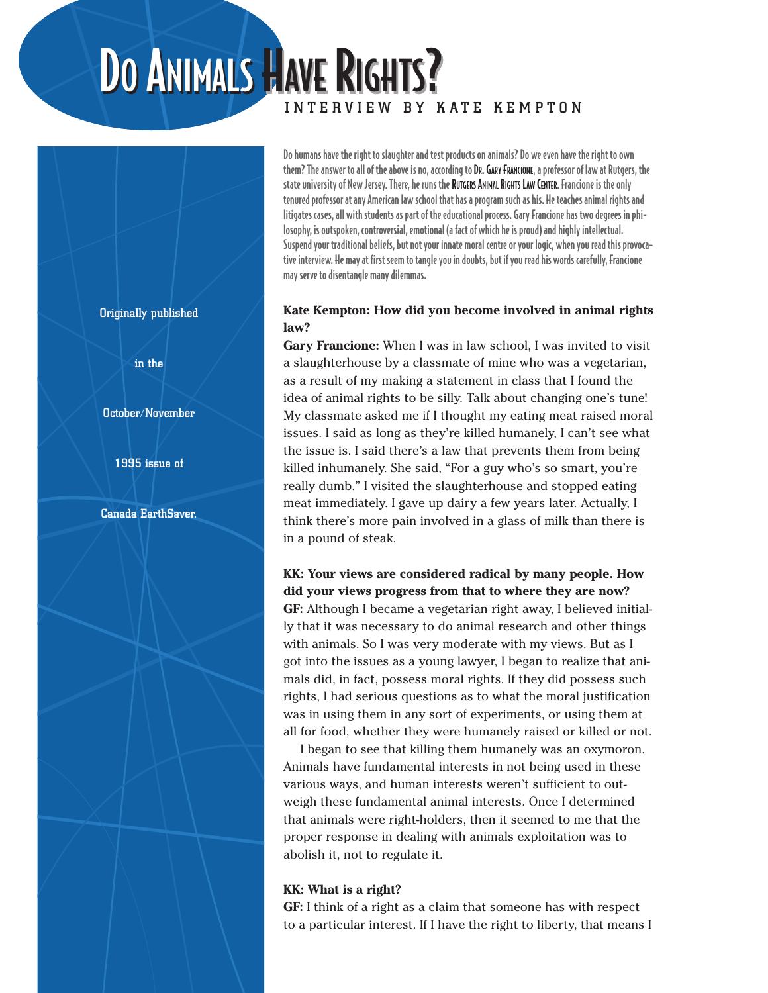# DO ANIMALS HAVE RIGHTS? INTERVIEW BY KATE KEMPTON

Do humans have the right to slaughter and test products on animals? Do we even have the right to own them? The answer to all of the above is no, according to DR. GARY FRANCIONE, a professor of law at Rutgers, the state university of New Jersey. There, he runs the RUTGERS ANIMAL RIGHTS LAW CENTER. Francione is the only tenured professor at any American law school that has a program such as his. He teaches animal rights and litigates cases, all with students as part of the educational process. Gary Francione has two degrees in philosophy, is outspoken, controversial, emotional (a fact of which he is proud) and highly intellectual. Suspend your traditional beliefs, but not your innate moral centre or your logic, when you read this provocative interview. He may at first seem to tangle you in doubts, but if you read his words carefully, Francione may serve to disentangle many dilemmas.

## **Kate Kempton: How did you become involved in animal rights law?**

**Gary Francione:** When I was in law school, I was invited to visit a slaughterhouse by a classmate of mine who was a vegetarian, as a result of my making a statement in class that I found the idea of animal rights to be silly. Talk about changing one's tune! My classmate asked me if I thought my eating meat raised moral issues. I said as long as they're killed humanely, I can't see what the issue is. I said there's a law that prevents them from being killed inhumanely. She said, "For a guy who's so smart, you're really dumb." I visited the slaughterhouse and stopped eating meat immediately. I gave up dairy a few years later. Actually, I think there's more pain involved in a glass of milk than there is in a pound of steak.

**KK: Your views are considered radical by many people. How did your views progress from that to where they are now? GF:** Although I became a vegetarian right away, I believed initially that it was necessary to do animal research and other things with animals. So I was very moderate with my views. But as I got into the issues as a young lawyer, I began to realize that animals did, in fact, possess moral rights. If they did possess such rights, I had serious questions as to what the moral justification was in using them in any sort of experiments, or using them at all for food, whether they were humanely raised or killed or not.

I began to see that killing them humanely was an oxymoron. Animals have fundamental interests in not being used in these various ways, and human interests weren't sufficient to outweigh these fundamental animal interests. Once I determined that animals were right-holders, then it seemed to me that the proper response in dealing with animals exploitation was to abolish it, not to regulate it.

## **KK: What is a right?**

**GF:** I think of a right as a claim that someone has with respect to a particular interest. If I have the right to liberty, that means I

Originally published

in the

#### October/November

1995 issue of

Canada EarthSaver.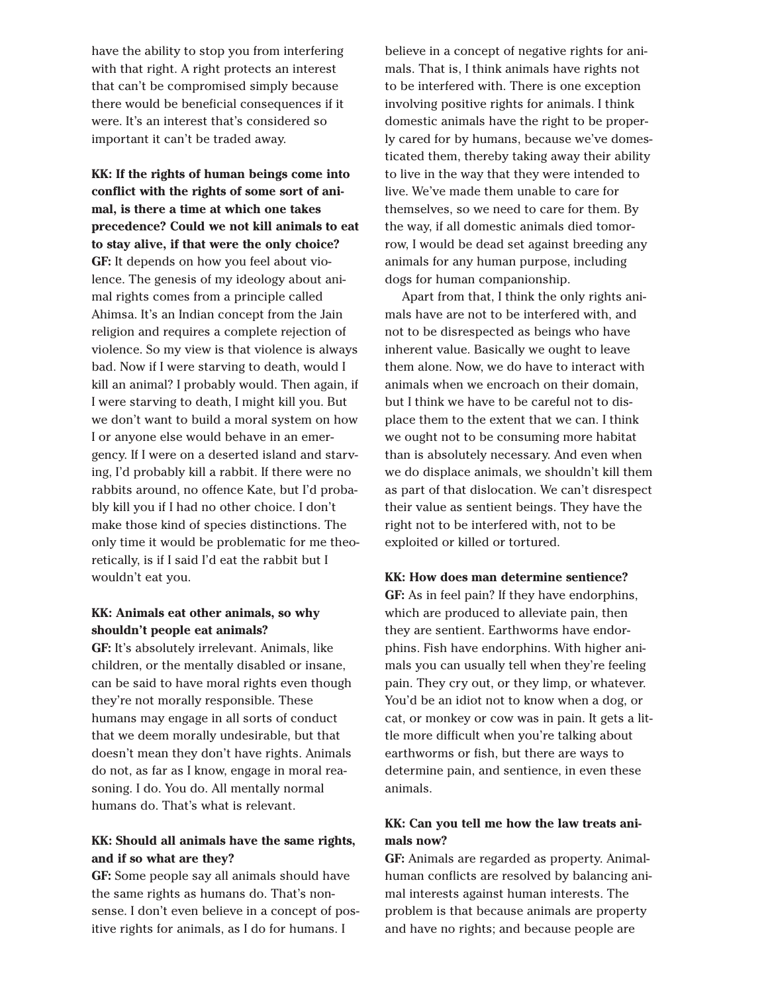have the ability to stop you from interfering with that right. A right protects an interest that can't be compromised simply because there would be beneficial consequences if it were. It's an interest that's considered so important it can't be traded away.

**KK: If the rights of human beings come into conflict with the rights of some sort of animal, is there a time at which one takes precedence? Could we not kill animals to eat to stay alive, if that were the only choice? GF:** It depends on how you feel about violence. The genesis of my ideology about animal rights comes from a principle called Ahimsa. It's an Indian concept from the Jain religion and requires a complete rejection of violence. So my view is that violence is always bad. Now if I were starving to death, would I kill an animal? I probably would. Then again, if I were starving to death, I might kill you. But we don't want to build a moral system on how I or anyone else would behave in an emergency. If I were on a deserted island and starving, I'd probably kill a rabbit. If there were no rabbits around, no offence Kate, but I'd probably kill you if I had no other choice. I don't make those kind of species distinctions. The only time it would be problematic for me theoretically, is if I said I'd eat the rabbit but I wouldn't eat you.

# **KK: Animals eat other animals, so why shouldn't people eat animals?**

**GF:** It's absolutely irrelevant. Animals, like children, or the mentally disabled or insane, can be said to have moral rights even though they're not morally responsible. These humans may engage in all sorts of conduct that we deem morally undesirable, but that doesn't mean they don't have rights. Animals do not, as far as I know, engage in moral reasoning. I do. You do. All mentally normal humans do. That's what is relevant.

# **KK: Should all animals have the same rights, and if so what are they?**

**GF:** Some people say all animals should have the same rights as humans do. That's nonsense. I don't even believe in a concept of positive rights for animals, as I do for humans. I

believe in a concept of negative rights for animals. That is, I think animals have rights not to be interfered with. There is one exception involving positive rights for animals. I think domestic animals have the right to be properly cared for by humans, because we've domesticated them, thereby taking away their ability to live in the way that they were intended to live. We've made them unable to care for themselves, so we need to care for them. By the way, if all domestic animals died tomorrow, I would be dead set against breeding any animals for any human purpose, including dogs for human companionship.

Apart from that, I think the only rights animals have are not to be interfered with, and not to be disrespected as beings who have inherent value. Basically we ought to leave them alone. Now, we do have to interact with animals when we encroach on their domain, but I think we have to be careful not to displace them to the extent that we can. I think we ought not to be consuming more habitat than is absolutely necessary. And even when we do displace animals, we shouldn't kill them as part of that dislocation. We can't disrespect their value as sentient beings. They have the right not to be interfered with, not to be exploited or killed or tortured.

#### **KK: How does man determine sentience?**

**GF:** As in feel pain? If they have endorphins, which are produced to alleviate pain, then they are sentient. Earthworms have endorphins. Fish have endorphins. With higher animals you can usually tell when they're feeling pain. They cry out, or they limp, or whatever. You'd be an idiot not to know when a dog, or cat, or monkey or cow was in pain. It gets a little more difficult when you're talking about earthworms or fish, but there are ways to determine pain, and sentience, in even these animals.

## **KK: Can you tell me how the law treats animals now?**

**GF:** Animals are regarded as property. Animalhuman conflicts are resolved by balancing animal interests against human interests. The problem is that because animals are property and have no rights; and because people are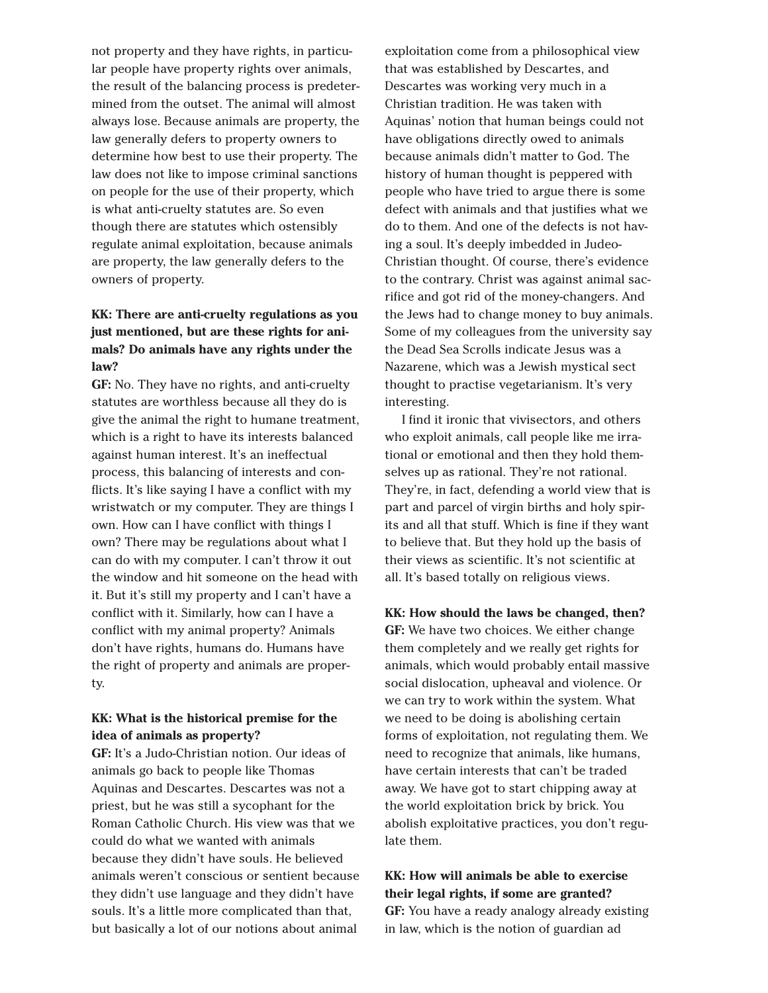not property and they have rights, in particular people have property rights over animals, the result of the balancing process is predetermined from the outset. The animal will almost always lose. Because animals are property, the law generally defers to property owners to determine how best to use their property. The law does not like to impose criminal sanctions on people for the use of their property, which is what anti-cruelty statutes are. So even though there are statutes which ostensibly regulate animal exploitation, because animals are property, the law generally defers to the owners of property.

# **KK: There are anti-cruelty regulations as you just mentioned, but are these rights for animals? Do animals have any rights under the law?**

**GF:** No. They have no rights, and anti-cruelty statutes are worthless because all they do is give the animal the right to humane treatment, which is a right to have its interests balanced against human interest. It's an ineffectual process, this balancing of interests and conflicts. It's like saying I have a conflict with my wristwatch or my computer. They are things I own. How can I have conflict with things I own? There may be regulations about what I can do with my computer. I can't throw it out the window and hit someone on the head with it. But it's still my property and I can't have a conflict with it. Similarly, how can I have a conflict with my animal property? Animals don't have rights, humans do. Humans have the right of property and animals are property.

## **KK: What is the historical premise for the idea of animals as property?**

**GF:** It's a Judo-Christian notion. Our ideas of animals go back to people like Thomas Aquinas and Descartes. Descartes was not a priest, but he was still a sycophant for the Roman Catholic Church. His view was that we could do what we wanted with animals because they didn't have souls. He believed animals weren't conscious or sentient because they didn't use language and they didn't have souls. It's a little more complicated than that, but basically a lot of our notions about animal

exploitation come from a philosophical view that was established by Descartes, and Descartes was working very much in a Christian tradition. He was taken with Aquinas' notion that human beings could not have obligations directly owed to animals because animals didn't matter to God. The history of human thought is peppered with people who have tried to argue there is some defect with animals and that justifies what we do to them. And one of the defects is not having a soul. It's deeply imbedded in Judeo-Christian thought. Of course, there's evidence to the contrary. Christ was against animal sacrifice and got rid of the money-changers. And the Jews had to change money to buy animals. Some of my colleagues from the university say the Dead Sea Scrolls indicate Jesus was a Nazarene, which was a Jewish mystical sect thought to practise vegetarianism. It's very interesting.

I find it ironic that vivisectors, and others who exploit animals, call people like me irrational or emotional and then they hold themselves up as rational. They're not rational. They're, in fact, defending a world view that is part and parcel of virgin births and holy spirits and all that stuff. Which is fine if they want to believe that. But they hold up the basis of their views as scientific. It's not scientific at all. It's based totally on religious views.

**KK: How should the laws be changed, then? GF:** We have two choices. We either change them completely and we really get rights for animals, which would probably entail massive social dislocation, upheaval and violence. Or we can try to work within the system. What we need to be doing is abolishing certain forms of exploitation, not regulating them. We need to recognize that animals, like humans, have certain interests that can't be traded away. We have got to start chipping away at the world exploitation brick by brick. You abolish exploitative practices, you don't regulate them.

**KK: How will animals be able to exercise their legal rights, if some are granted? GF:** You have a ready analogy already existing in law, which is the notion of guardian ad